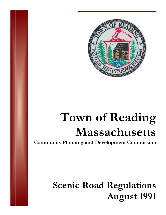

# Town of Reading<br>
Massachusetts  $M$ **assachusetts**

**Community Planning and Development Commission** 

## **Scenic Road Regulations A Aug gust 1991 1**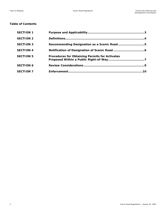#### **Table of Contents**

| <b>SECTION 1</b> |                                                       |  |
|------------------|-------------------------------------------------------|--|
| <b>SECTION 2</b> |                                                       |  |
| <b>SECTION 3</b> | Recommending Designation as a Scenic Road5            |  |
| <b>SECTION 4</b> |                                                       |  |
| <b>SECTION 5</b> | <b>Procedures for Obtaining Permits for Activates</b> |  |
| <b>SECTION 6</b> |                                                       |  |
| <b>SECTION 7</b> |                                                       |  |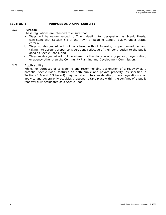#### **SECTION 1** PURPOSE AND APPLICABILITY

#### **1.1 Purpose**

These regulations are intended to ensure that:

- **a** Ways will be recommended to Town Meeting for designation as Scenic Roads, consistent with Section 5.8 of the Town of Reading General Bylaw, under stated criteria,
- **b** Ways so designated will not be altered without following proper procedures and taking into account proper considerations reflective of their contribution to the public good as Scenic Roads, and
- **c** Ways so designated will not be altered by the decision of any person, organization, or agency other than the Community Planning and Development Commission.

#### **1.2 Applicability**

While, for purposes of considering and recommending designation of a roadway as a potential Scenic Road, features on both public and private property (as specified in Sections 1.6 and 3.3 hereof) may be taken into consideration, these regulations shall apply to and govern only activities proposed to take place within the confines of a public roadway duly designated as a Scenic Road.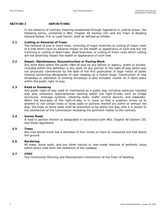#### SECTION 2 DEFINITIONS

In the absence of contrary meaning established through legislative or judicial action, the following terms, contained in MGL Chapter 40 Section 15C and the Town of Reading General Bylaw, 5.8, or used herein, shall be defined as follows:

#### **2.1 Cutting or Removal of Trees**

The removal of one or more trees, trimming of major branches or cutting of major roots of a tree which have an adverse impact on the health or appearance of such tree but not trimming or cutting of dead trees, dead branches, or cutting of minor roots which cutting will not adversely impact the health or appearance of such tree.

#### **2.2 Repair, Maintenance, Reconstruction or Paving Work**

Any work done within the public right-of-way by any person or agency, public or private. Included within this definition is any work on any portion of the right-of-way which was not physically commenced by the date of the first publication of legal notice of public hearing concerning designation of said roadway as a Scenic Road. Construction of new driveways or alteration of existing driveways is also included, insofar as it takes place within the public right-of-way.

#### **2.3 Road or Roadway**

Any public right-of-way used or maintained as a public way including vehicular traveled way plus necessary appurtenances existing within the right-of-way such as bridge structures, drainage systems, retaining walls, traffic control devices, and sidewalks. When the boundary of the right-of-way is in issue so that a question arises as to whether or not certain trees or stone walls or portions thereof are within or without the way, the trees or stone walls shall be presumed to be within the way until it is shown to the satisfaction of the Commission reviewing the pertinent matter to the contrary.

#### **2.4 Scenic Road**

A road or portion thereof so designated in accordance with MGL Chapter 40 Section 15C and these regulations

#### **2.5 Trees**

Any tree whose trunk has a diameter of four inches or more as measured one foot above the ground

#### **2.6 Bordering**

All trees, stone walls, and any other natural or man-made features of aesthetic value within direct view from the centerline of the roadway

#### **2.7 CPDC**

The Community Planning and Development Commission of the Town of Reading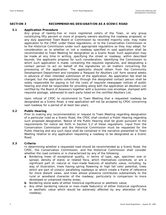#### **SECTION 3 RECOMMENDING DESIGNATION AS A SCENIC ROAD**

#### **3.1 Application Procedure**

Any group of twenty-five or more registered voters of the Town, or any group constituting fifty percent or more of property owners abutting the roadway proposed, or any duly appointed Town Board or Commission by recorded majority vote, may make application to the CPDC under these regulations, or to the Conservation Commission or to the Historical Commission under such appropriate regulations as they may adopt, for consideration as to whether or not a roadway specified in said application shall be recommended to Town Meeting for designation as a Scenic Road. Such application may be made at any time in writing, specifying the street or roadway, within described bounds, the applicants propose for such consideration, identifying the Commission to which such application is made, containing the requisite signatures, and designating a contact person to act on behalf of the signatories on all matters concerning the processing of the application. The applicants should obtain from the Community Development Department and complete a 'Request for Abutters List' form several weeks in advance of their intended submission of the application. No application fee shall be charged, but the applicants collectively through the designated contact person shall be solely responsible for paying in full the costs of requisite newspaper notices of public hearing and shall be responsible for providing along with the application an Abutters List certified by the Board of Assessors together with a business-size envelope, stamped with requisite postage, addressed to each party listed on the certified Abutters List.

Upon refusal of CPDC to recommend to Town Meeting that a requested roadway be designated as a Scenic Road, a new application will not be accepted by CPDC concerning said roadway for a period of at least two years.

#### **3.2 Public Hearing**

Prior to making any recommendation or request to Town Meeting regarding designation of a particular road as a Scenic Road, the CPDC shall conduct a Public Hearing regarding such proposed designation. Notice of the Public Hearing shall be given pursuant to the requirements for notice set forth in Section 5.2 of these regulations. Input from the Conservation Commission and the Historical Commission must be requested for the Public Hearing and any such input shall be contained in the narrative presented to Town Meeting relative to any application requesting a roadway to be designated as a Scenic Road.

#### **3.3 Criteria**

In determining whether a requested road should be recommended as a Scenic Road, the CPDC, the Conservation Commission, and the Historical Commission shall consider whether the road contains or is characterized by any of the following:

- **a** Bordering trees of exceptional quality, in terms of type, age, specimen size or spread, density of stand, or related flora, which themselves constitute, or are a significant part of, natural or man-made features of aesthetic value, including, by way of illustration, trees having spring flowering or high fall color potential, trees which are part of vista(s) paralleling roadways or which create a frame of reference for more distant views, and trees whose presence contributes substantially to the rural or woodland character of the roadway, particularly in comparison to more developed or urbanized nearby areas;
- **b** Bordering stone walls of either historical significance or aesthetic value;
- **c** Any other bordering natural or man-made feature(s) of either historical significance or aesthetic value which would be adversely affected by any alteration of the roadway;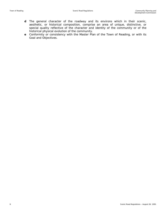- **d** The general character of the roadway and its environs which in their scenic, aesthetic, or historical composition, comprise an area of unique, distinctive, or special quality reflective of the character and identity of the community or of the historical physical evolution of the community.
- **e** Conformity or consistency with the Master Plan of the Town of Reading, or with its Goal and Objectives.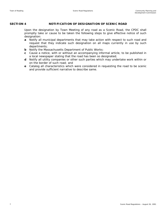## **SECTION 4 NOTIFICATION OF DESIGNATION OF SCENIC ROAD**

Upon the designation by Town Meeting of any road as a Scenic Road, the CPDC shall promptly take or cause to be taken the following steps to give effective notice of such designation:

- **a** Notify all municipal departments that may take action with respect to such road and request that they indicate such designation on all maps currently in use by such departments;
- **b** Notify the Massachusetts Department of Public Works:
- **c** Cause a notice, with or without an accompanying informal article, to be published in a local newspaper stating that the road has been so designated;
- **d** Notify all utility companies or other such parties which may undertake work within or on the border of such road; and
- **e** Catalog all characteristics which were considered in requesting the road to be scenic and provide sufficient narrative to describe same.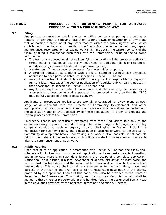#### **SECTION 5 PROCEDURES FOR OBTAINING PERMITS FOR ACTIVATES PROPOSED WITHIN A PUBLIC RIGHT-OF-WAY**

#### **5.1 Filing**

Any person, organization, public agency, or utility company proposing the cutting or removal of any tree, the moving, alteration, tearing down, or destruction of any stone wall or portion thereof, or of any other feature within the public right-of-way, which contributes to the character or quality of the Scenic Road, in connection with any repair, maintenance, reconstruction, or paving work shall first obtain the written consent of the CPDC by filing a request for such work with the Commission, including the following information:

- **a** The text of a proposed legal notice identifying the location of the proposed activity in terms enabling readers to locate it without need for additional plans or references, and describing in reasonable detail the proposed activity;
- **b** A statement of the purpose, or purposes, for the activities proposed;
- **c** A certified abutters list together with a set of stamped business-size envelopes addressed to each party so listed, as specified in Section 3.1 hereof;
- **d** An application fee of ninety dollars (\$90); the applicant is responsible for paying in full to a local newspaper the cost of publication of requisite public hearing notices in that newspaper as specified in Section 3.2 hereof; and
- **e** Any further explanatory material, documents, and plans as may be necessary or appropriate to describe fully all aspects of the proposed activity so that the CPDC may be fully apprised of the proposed activity.

Applicants or prospective applicants are strongly encouraged to review plans at each stage of development with the Director of Community Development and other appropriate Town staff, in order to identify and obtain advice on matters connected with the application and on the applicability of these regulations, in order to expedite the review process before the Commission.

Emergency repairs are specifically exempted from these Regulations but only to the extent necessary to protect life and property. The person, organization, agency, or utility company conducting such emergency repairs shall give notification, including a justification for such emergency and a description of such repair work, to the Director of Community development before undertaking such work if at all possible; if not possible prior to the undertaking of such work, such notification shall occur as soon as practicable after the commencement of such work.

#### **5.2 Public Hearing**

Upon receipt of an application in accordance with Section 5.1 hereof, the CPDC shall schedule a Public Hearing to consider said application at its earliest convenient meeting, but in no case more than sixty days following the receipt of a complete application. Notice shall be published in a local newspaper of general circulation at least twice, the first at least fourteen days, and the second at least seven days, prior to the scheduled hearing date. This notice shall contain a statement as to the date, time, place, and purpose of the hearing and shall also contain a reasonable description of the activity proposed by the applicant. Copies of this notice shall also be provided to the Board of Selectmen, the Conservation Commission, and the Historical Commission, and shall be mailed to the owners of property within one-hundred feet of the designated Scenic Road in the envelopes provided by the applicant according to Section 5.1 hereof.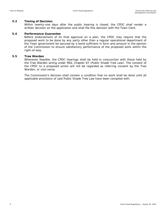#### **5.3 Timing of Decision**

Within twenty-one days after the public hearing is closed, the CPDC shall render a written decision on the application and shall file this decision with the Town Clerk.

#### **5.4 Performance Guarantee**

Before endorsement of its final approval on a plan, the CPDC may require that the proposed work to be done by any party other than a regular operational department of the Town government be secured by a bond sufficient in form and amount in the opinion of the Commission to ensure satisfactory performance of the proposed work within the right-of-way.

#### **5.5 Tree Warden**

Whenever feasible, the CPDC hearings shall be held in conjunction with those held by the Tree Warden acting under MGL Chapter 87 (Public Shade Tree Law). The consent of the CPDC to a proposed action will not be regarded as inferring consent by the Tree Warden, or vice-versa.

The Commission's decision shall contain a condition that no work shall be done until all applicable provisions of said Public Shade Tree Law have been complied with.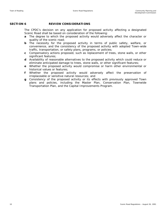### **SECTION 6** REVIEW CONSIDERATIONS

The CPDC's decision on any application for proposed activity affecting a designated Scenic Road shall be based on consideration of the following:

- **a** The degree to which the proposed activity would adversely affect the character or quality of the scenic road;
- **b** The necessity for the proposed activity in terms of public safety, welfare, or convenience, and the consistency of the proposed activity with adopted Town-wide traffic, transportation, or safety plans, programs, or policies;
- **c** Compensatory actions proposed, such as replacement of trees, stone walls, or other significant features;
- **d** Availability of reasonable alternatives to the proposed activity which could reduce or eliminate anticipated damage to trees, stone walls, or other significant features;
- **e** Whether the proposed activity would compromise or harm other environmental or historical values or features;
- **f** Whether the proposed activity would adversely affect the preservation of irreplaceable or sensitive natural resources; and
- **g** Consistency of the proposed activity or its effects with previously approved Town plans and policies, including the Master Plan, Conservation Plan, Townwide Transportation Plan, and the Capital Improvements Program.